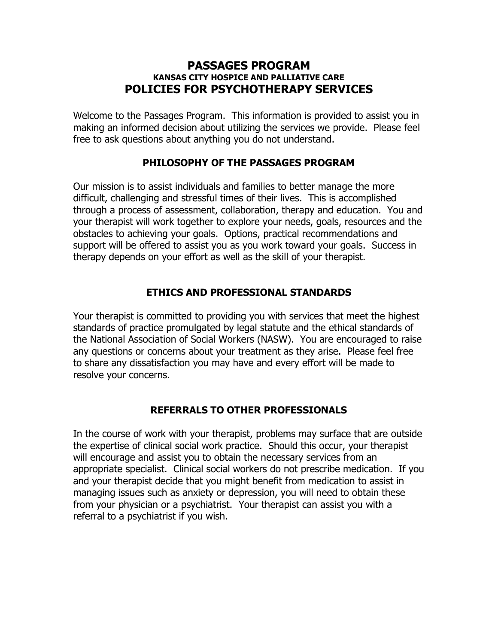### **PASSAGES PROGRAM KANSAS CITY HOSPICE AND PALLIATIVE CARE POLICIES FOR PSYCHOTHERAPY SERVICES**

Welcome to the Passages Program. This information is provided to assist you in making an informed decision about utilizing the services we provide. Please feel free to ask questions about anything you do not understand.

## **PHILOSOPHY OF THE PASSAGES PROGRAM**

Our mission is to assist individuals and families to better manage the more difficult, challenging and stressful times of their lives. This is accomplished through a process of assessment, collaboration, therapy and education. You and your therapist will work together to explore your needs, goals, resources and the obstacles to achieving your goals. Options, practical recommendations and support will be offered to assist you as you work toward your goals. Success in therapy depends on your effort as well as the skill of your therapist.

## **ETHICS AND PROFESSIONAL STANDARDS**

Your therapist is committed to providing you with services that meet the highest standards of practice promulgated by legal statute and the ethical standards of the National Association of Social Workers (NASW). You are encouraged to raise any questions or concerns about your treatment as they arise. Please feel free to share any dissatisfaction you may have and every effort will be made to resolve your concerns.

## **REFERRALS TO OTHER PROFESSIONALS**

In the course of work with your therapist, problems may surface that are outside the expertise of clinical social work practice. Should this occur, your therapist will encourage and assist you to obtain the necessary services from an appropriate specialist. Clinical social workers do not prescribe medication. If you and your therapist decide that you might benefit from medication to assist in managing issues such as anxiety or depression, you will need to obtain these from your physician or a psychiatrist. Your therapist can assist you with a referral to a psychiatrist if you wish.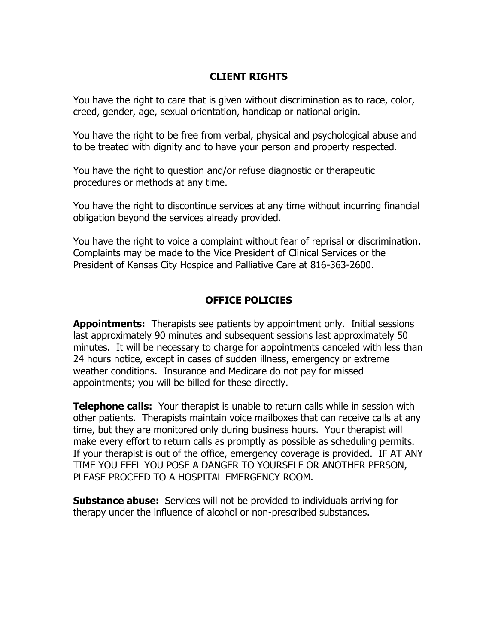## **CLIENT RIGHTS**

You have the right to care that is given without discrimination as to race, color, creed, gender, age, sexual orientation, handicap or national origin.

You have the right to be free from verbal, physical and psychological abuse and to be treated with dignity and to have your person and property respected.

You have the right to question and/or refuse diagnostic or therapeutic procedures or methods at any time.

You have the right to discontinue services at any time without incurring financial obligation beyond the services already provided.

You have the right to voice a complaint without fear of reprisal or discrimination. Complaints may be made to the Vice President of Clinical Services or the President of Kansas City Hospice and Palliative Care at 816-363-2600.

# **OFFICE POLICIES**

**Appointments:** Therapists see patients by appointment only. Initial sessions last approximately 90 minutes and subsequent sessions last approximately 50 minutes. It will be necessary to charge for appointments canceled with less than 24 hours notice, except in cases of sudden illness, emergency or extreme weather conditions. Insurance and Medicare do not pay for missed appointments; you will be billed for these directly.

**Telephone calls:** Your therapist is unable to return calls while in session with other patients. Therapists maintain voice mailboxes that can receive calls at any time, but they are monitored only during business hours. Your therapist will make every effort to return calls as promptly as possible as scheduling permits. If your therapist is out of the office, emergency coverage is provided. IF AT ANY TIME YOU FEEL YOU POSE A DANGER TO YOURSELF OR ANOTHER PERSON, PLEASE PROCEED TO A HOSPITAL EMERGENCY ROOM.

**Substance abuse:** Services will not be provided to individuals arriving for therapy under the influence of alcohol or non-prescribed substances.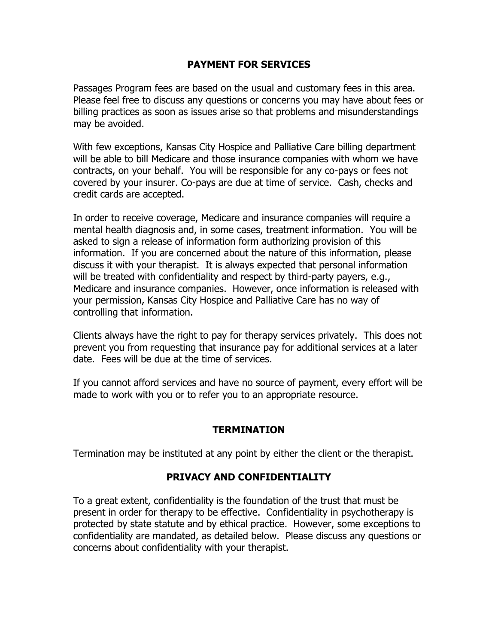## **PAYMENT FOR SERVICES**

Passages Program fees are based on the usual and customary fees in this area. Please feel free to discuss any questions or concerns you may have about fees or billing practices as soon as issues arise so that problems and misunderstandings may be avoided.

With few exceptions, Kansas City Hospice and Palliative Care billing department will be able to bill Medicare and those insurance companies with whom we have contracts, on your behalf. You will be responsible for any co-pays or fees not covered by your insurer. Co-pays are due at time of service. Cash, checks and credit cards are accepted.

In order to receive coverage, Medicare and insurance companies will require a mental health diagnosis and, in some cases, treatment information. You will be asked to sign a release of information form authorizing provision of this information. If you are concerned about the nature of this information, please discuss it with your therapist. It is always expected that personal information will be treated with confidentiality and respect by third-party payers, e.g., Medicare and insurance companies. However, once information is released with your permission, Kansas City Hospice and Palliative Care has no way of controlling that information.

Clients always have the right to pay for therapy services privately. This does not prevent you from requesting that insurance pay for additional services at a later date. Fees will be due at the time of services.

If you cannot afford services and have no source of payment, every effort will be made to work with you or to refer you to an appropriate resource.

## **TERMINATION**

Termination may be instituted at any point by either the client or the therapist.

## **PRIVACY AND CONFIDENTIALITY**

To a great extent, confidentiality is the foundation of the trust that must be present in order for therapy to be effective. Confidentiality in psychotherapy is protected by state statute and by ethical practice. However, some exceptions to confidentiality are mandated, as detailed below. Please discuss any questions or concerns about confidentiality with your therapist.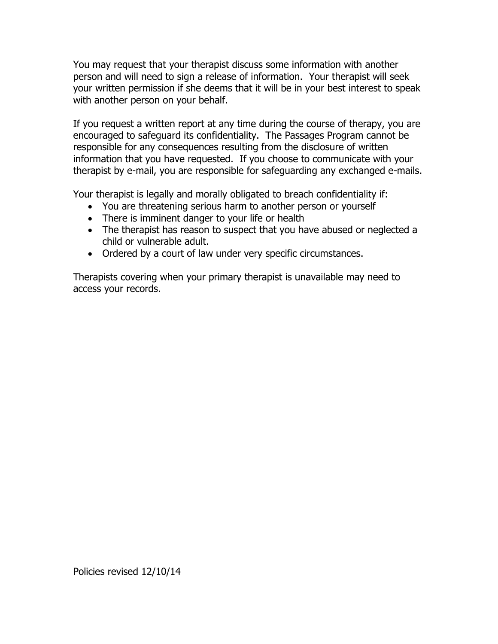You may request that your therapist discuss some information with another person and will need to sign a release of information. Your therapist will seek your written permission if she deems that it will be in your best interest to speak with another person on your behalf.

If you request a written report at any time during the course of therapy, you are encouraged to safeguard its confidentiality. The Passages Program cannot be responsible for any consequences resulting from the disclosure of written information that you have requested. If you choose to communicate with your therapist by e-mail, you are responsible for safeguarding any exchanged e-mails.

Your therapist is legally and morally obligated to breach confidentiality if:

- You are threatening serious harm to another person or yourself
- There is imminent danger to your life or health
- The therapist has reason to suspect that you have abused or neglected a child or vulnerable adult.
- Ordered by a court of law under very specific circumstances.

Therapists covering when your primary therapist is unavailable may need to access your records.